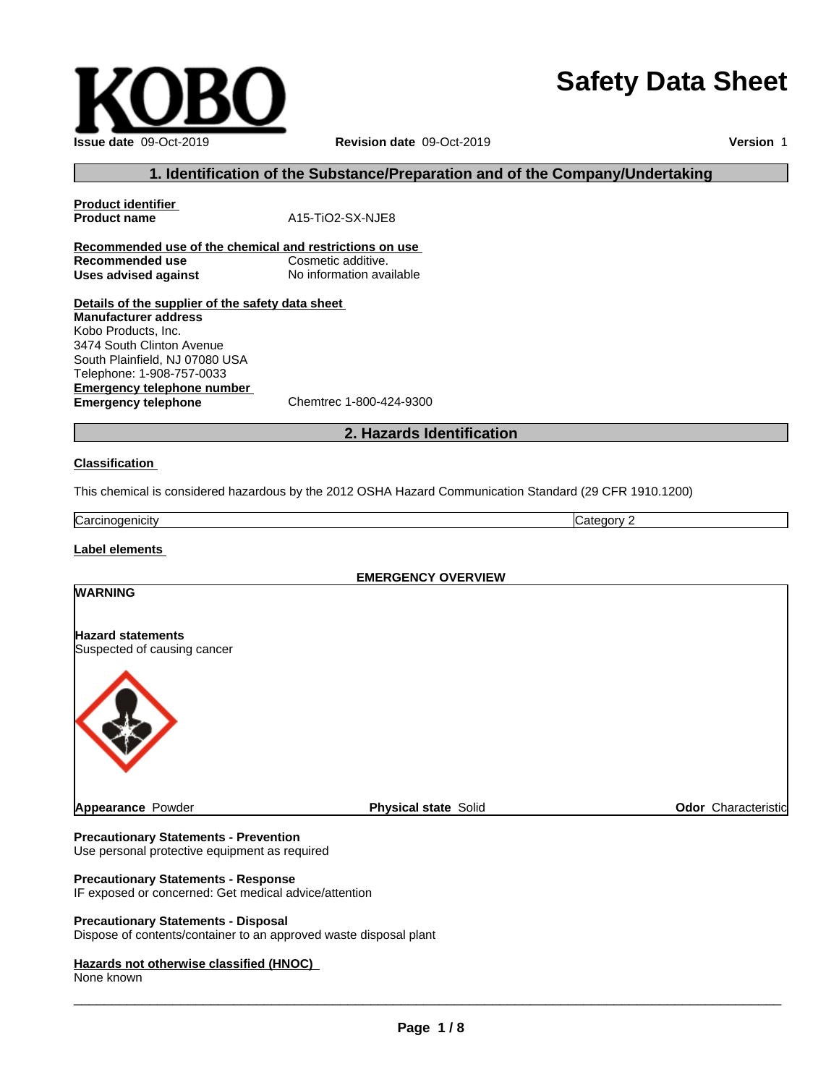# **Safety Data Sheet**

| Issue date 09-Oct-2019 |
|------------------------|

#### **Issue date** 09-Oct-2019 **Revision date** 09-Oct-2019 **Version** 1

### **1. Identification of the Substance/Preparation and of the Company/Undertaking**

**Product identifier**

**Product name** A15-TiO2-SX-NJE8

**Recommended use of the chemical and restrictions on use Recommended use Cosmetic additive. Uses advised against** No information available

**Details of the supplier of the safety data sheet Emergency telephone number**<br> **Emergency telephone**<br>
Chemtrec 1-800-424-9300 **Emergency telephone Manufacturer address** Kobo Products, Inc. 3474 South Clinton Avenue South Plainfield, NJ 07080 USA Telephone: 1-908-757-0033

### **2. Hazards Identification**

#### **Classification**

This chemical is considered hazardous by the 2012 OSHA Hazard Communication Standard (29 CFR 1910.1200)

**Carcinogenicity** Category 2

#### **Label elements**

**EMERGENCY OVERVIEW**

# **WARNING**

**Hazard statements** Suspected of causing cancer



**Appearance Powder Physical state** Solid **Physical state** Solid **Physical state** Solid **Physical Solid** 

#### **Precautionary Statements - Prevention**

Use personal protective equipment as required

#### **Precautionary Statements - Response**

IF exposed or concerned: Get medical advice/attention

#### **Precautionary Statements - Disposal**

Dispose of contents/container to an approved waste disposal plant

#### **Hazards not otherwise classified (HNOC)**

None known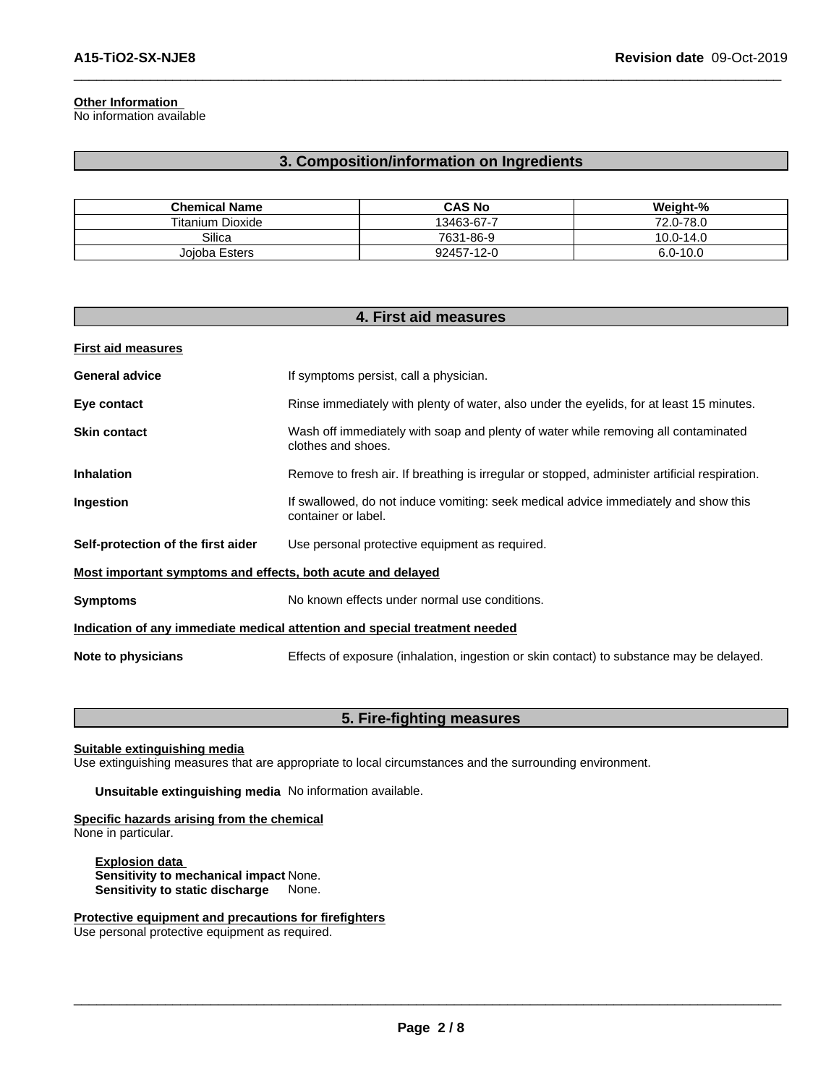# **Other Information**

No information available

# **3. Composition/information on Ingredients**

| <b>Chemical Name</b> | <b>CAS No</b> | Weight-%     |
|----------------------|---------------|--------------|
| Titanium Dioxide     | 13463-67-7    | 72.0-78.0    |
| Silica               | 7631-86-9     | 10.0-14.0    |
| Joioba Esters        | 92457-12-0    | $6.0 - 10.0$ |

| 4. First aid measures                                       |                                                                                                            |  |  |
|-------------------------------------------------------------|------------------------------------------------------------------------------------------------------------|--|--|
| <b>First aid measures</b>                                   |                                                                                                            |  |  |
| <b>General advice</b>                                       | If symptoms persist, call a physician.                                                                     |  |  |
| Eye contact                                                 | Rinse immediately with plenty of water, also under the eyelids, for at least 15 minutes.                   |  |  |
| <b>Skin contact</b>                                         | Wash off immediately with soap and plenty of water while removing all contaminated<br>clothes and shoes.   |  |  |
| <b>Inhalation</b>                                           | Remove to fresh air. If breathing is irregular or stopped, administer artificial respiration.              |  |  |
| Ingestion                                                   | If swallowed, do not induce vomiting: seek medical advice immediately and show this<br>container or label. |  |  |
| Self-protection of the first aider                          | Use personal protective equipment as required.                                                             |  |  |
| Most important symptoms and effects, both acute and delayed |                                                                                                            |  |  |
| <b>Symptoms</b>                                             | No known effects under normal use conditions.                                                              |  |  |
|                                                             | Indication of any immediate medical attention and special treatment needed                                 |  |  |
| Note to physicians                                          | Effects of exposure (inhalation, ingestion or skin contact) to substance may be delayed.                   |  |  |

# **5. Fire-fighting measures**

#### **Suitable extinguishing media**

Use extinguishing measures that are appropriate to local circumstances and the surrounding environment.

**Unsuitable extinguishing media** No information available.

#### **Specific hazards arising from the chemical**

None in particular.

**Explosion data Sensitivity to mechanical impact** None. **Sensitivity to static discharge** None.

#### **Protective equipment and precautions for firefighters**

Use personal protective equipment as required.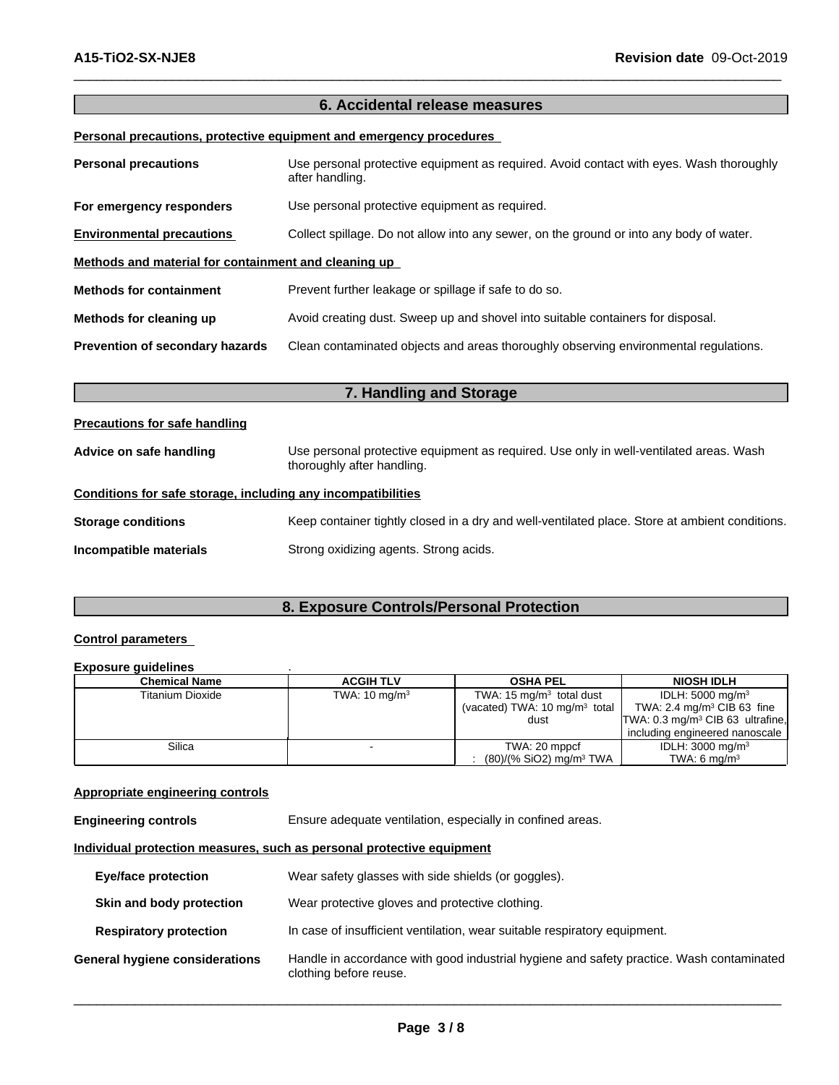#### **6. Accidental release measures**

#### **Personal precautions, protective equipment and emergency procedures**

| <b>Personal precautions</b>                          | Use personal protective equipment as required. Avoid contact with eyes. Wash thoroughly<br>after handling. |
|------------------------------------------------------|------------------------------------------------------------------------------------------------------------|
| For emergency responders                             | Use personal protective equipment as required.                                                             |
| <b>Environmental precautions</b>                     | Collect spillage. Do not allow into any sewer, on the ground or into any body of water.                    |
| Methods and material for containment and cleaning up |                                                                                                            |
| <b>Methods for containment</b>                       | Prevent further leakage or spillage if safe to do so.                                                      |
| Methods for cleaning up                              | Avoid creating dust. Sweep up and shovel into suitable containers for disposal.                            |
| Prevention of secondary hazards                      | Clean contaminated objects and areas thoroughly observing environmental regulations.                       |

| 7. Handling and Storage                                      |                                                                                                                      |  |  |
|--------------------------------------------------------------|----------------------------------------------------------------------------------------------------------------------|--|--|
| <b>Precautions for safe handling</b>                         |                                                                                                                      |  |  |
| Advice on safe handling                                      | Use personal protective equipment as required. Use only in well-ventilated areas. Wash<br>thoroughly after handling. |  |  |
| Conditions for safe storage, including any incompatibilities |                                                                                                                      |  |  |
| <b>Storage conditions</b>                                    | Keep container tightly closed in a dry and well-ventilated place. Store at ambient conditions.                       |  |  |
| Incompatible materials                                       | Strong oxidizing agents. Strong acids.                                                                               |  |  |

# **8. Exposure Controls/Personal Protection**

#### **Control parameters**

# **Exposure guidelines** .

| Chemical Name    | <b>ACGIH TLV</b>         | <b>OSHA PEL</b>                          | <b>NIOSH IDLH</b>                            |
|------------------|--------------------------|------------------------------------------|----------------------------------------------|
| Titanium Dioxide | TWA: $10 \text{ mg/m}^3$ | TWA: $15 \text{ mg/m}^3$ total dust      | IDLH: $5000 \text{ mg/m}^3$                  |
|                  |                          | (vacated) TWA: $10 \text{ mg/m}^3$ total | TWA: 2.4 mg/m <sup>3</sup> CIB 63 fine       |
|                  |                          | dust                                     | TWA: 0.3 mg/m <sup>3</sup> CIB 63 ultrafine, |
|                  |                          |                                          | including engineered nanoscale               |
| Silica           |                          | TWA: 20 mppcf                            | IDLH: $3000 \text{ mg/m}^3$                  |
|                  |                          | $(80)/(%$ SiO2) mg/m <sup>3</sup> TWA    | TWA: 6 $mq/m3$                               |

### **Appropriate engineering controls**

**Engineering controls** Ensure adequate ventilation, especially in confined areas.

#### **Individual protection measures, such as personal protective equipment**

| <b>Eye/face protection</b>     | Wear safety glasses with side shields (or goggles).                                                                |
|--------------------------------|--------------------------------------------------------------------------------------------------------------------|
| Skin and body protection       | Wear protective gloves and protective clothing.                                                                    |
| <b>Respiratory protection</b>  | In case of insufficient ventilation, wear suitable respiratory equipment.                                          |
| General hygiene considerations | Handle in accordance with good industrial hygiene and safety practice. Wash contaminated<br>clothing before reuse. |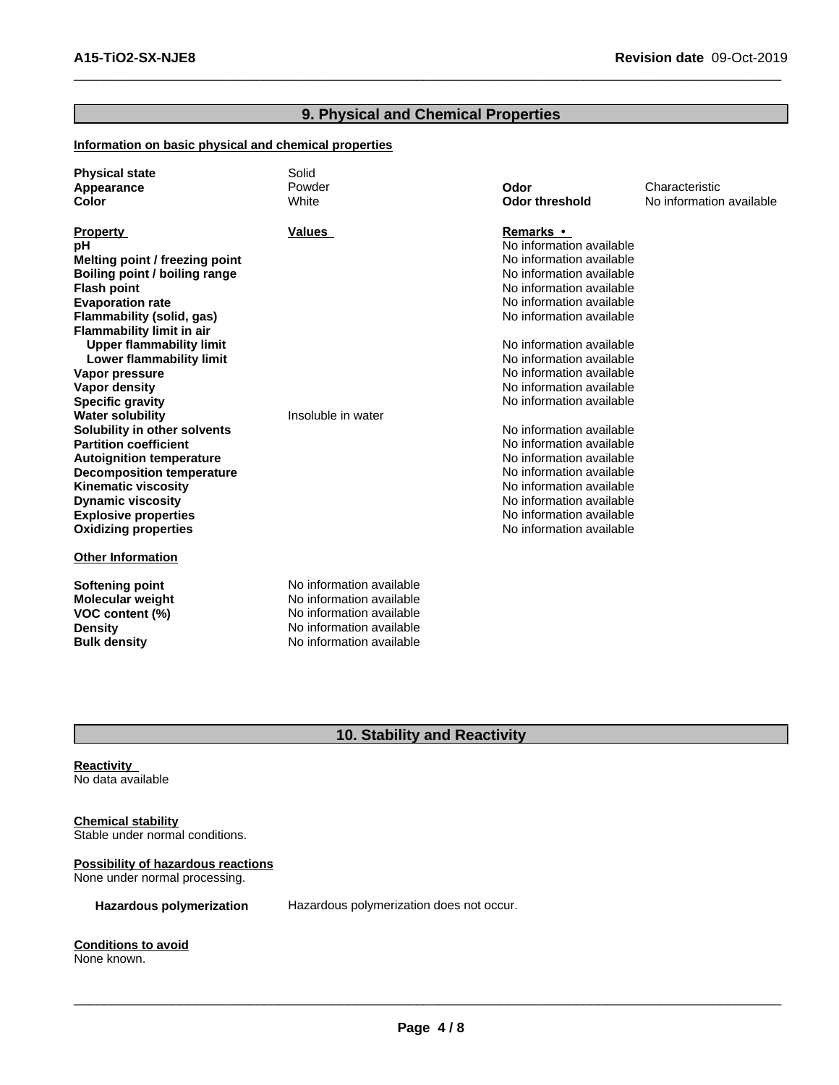# **9. Physical and Chemical Properties**

#### **Information on basic physical and chemical properties**

| <b>Physical state</b>            | Solid                    |                          |                          |
|----------------------------------|--------------------------|--------------------------|--------------------------|
| Appearance                       | Powder                   | Odor                     | Characteristic           |
| <b>Color</b>                     | White                    | <b>Odor threshold</b>    | No information available |
| <b>Property</b>                  | <b>Values</b>            | <b>Remarks</b> •         |                          |
| рH                               |                          | No information available |                          |
| Melting point / freezing point   |                          | No information available |                          |
| Boiling point / boiling range    |                          | No information available |                          |
| <b>Flash point</b>               |                          | No information available |                          |
| <b>Evaporation rate</b>          |                          | No information available |                          |
| Flammability (solid, gas)        |                          | No information available |                          |
| <b>Flammability limit in air</b> |                          |                          |                          |
| <b>Upper flammability limit</b>  |                          | No information available |                          |
| Lower flammability limit         |                          | No information available |                          |
| Vapor pressure                   |                          | No information available |                          |
| Vapor density                    |                          | No information available |                          |
| <b>Specific gravity</b>          |                          | No information available |                          |
| <b>Water solubility</b>          | Insoluble in water       |                          |                          |
| Solubility in other solvents     |                          | No information available |                          |
| <b>Partition coefficient</b>     |                          | No information available |                          |
| <b>Autoignition temperature</b>  |                          | No information available |                          |
| <b>Decomposition temperature</b> |                          | No information available |                          |
| <b>Kinematic viscosity</b>       |                          | No information available |                          |
| <b>Dynamic viscosity</b>         |                          | No information available |                          |
| <b>Explosive properties</b>      |                          | No information available |                          |
| <b>Oxidizing properties</b>      |                          | No information available |                          |
| <b>Other Information</b>         |                          |                          |                          |
| Softening point                  | No information available |                          |                          |
| <b>Molecular weight</b>          | No information available |                          |                          |
| VOC content (%)                  | No information available |                          |                          |
| <b>Density</b>                   | No information available |                          |                          |
| <b>Bulk density</b>              | No information available |                          |                          |

# **10. Stability and Reactivity**

**Reactivity** No data available

**Chemical stability** Stable under normal conditions.

**Possibility of hazardous reactions** None under normal processing.

**Hazardous polymerization** Hazardous polymerization does not occur.

**Conditions to avoid** None known.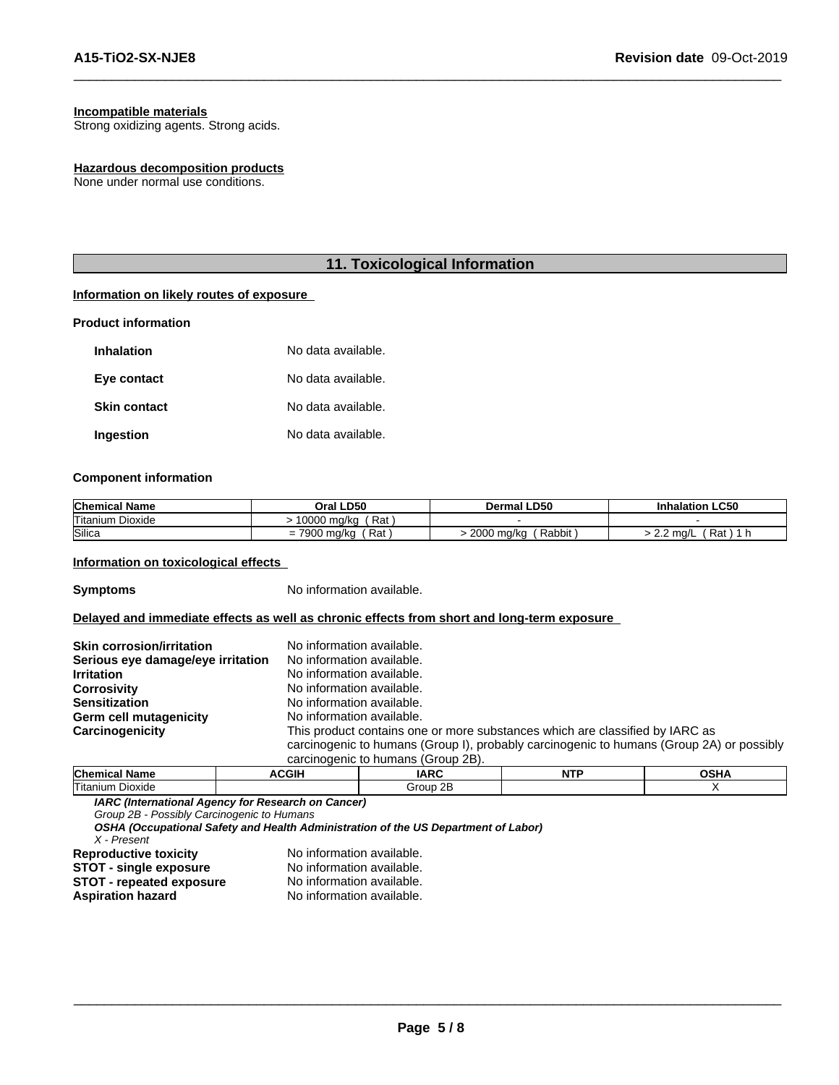### **Incompatible materials**

Strong oxidizing agents. Strong acids.

#### **Hazardous decomposition products**

None under normal use conditions.

# **11. Toxicological Information**

# **Information on likely routes of exposure**

#### **Product information**

| <b>Inhalation</b>   | No data available. |
|---------------------|--------------------|
| Eye contact         | No data available. |
| <b>Skin contact</b> | No data available. |
| Ingestion           | No data available. |

#### **Component information**

| <b>Chemical Name</b>    | Oral LD50                          | <b>Dermal LD50</b>       | <b>Inhalation LC50</b> |
|-------------------------|------------------------------------|--------------------------|------------------------|
| <b>Titanium Dioxide</b> | Rat<br>10000 ma/ka                 |                          |                        |
| Silica                  | Rat<br>$\neg$<br>ma/ko<br>ອບບ<br>= | Rabbit,<br>2000<br>ma/ka | Rat<br>∙ 2.2 ma/L      |

**Information on toxicological effects**

**Symptoms** No information available.

**Delayed and immediate effects as well as chronic effects from short and long-term exposure**

| <b>Skin corrosion/irritation</b>  | No information available.                                                                |
|-----------------------------------|------------------------------------------------------------------------------------------|
| Serious eye damage/eye irritation | No information available.                                                                |
| <b>Irritation</b>                 | No information available.                                                                |
| <b>Corrosivity</b>                | No information available.                                                                |
| <b>Sensitization</b>              | No information available.                                                                |
| Germ cell mutagenicity            | No information available.                                                                |
| Carcinogenicity                   | This product contains one or more substances which are classified by IARC as             |
|                                   | carcinogenic to humans (Group I), probably carcinogenic to humans (Group 2A) or possibly |
|                                   | carcinogenic to humans (Group 2B).                                                       |

| $\frac{1}{2}$        |              |                |                               |                      |  |
|----------------------|--------------|----------------|-------------------------------|----------------------|--|
| <b>Chemical Name</b> | <b>ACGIH</b> | <b>IARC</b>    | $\overline{\phantom{a}}$<br>. | <b>OCUT</b><br>,,,,, |  |
| Titanium<br>Dioxide  |              | ΩΓ<br>Group 2E |                               |                      |  |

*IARC (International Agency for Research on Cancer)*

*Group 2B - Possibly Carcinogenic to Humans*

*OSHA (Occupational Safety and Health Administration of the US Department of Labor)*

*X - Present*

**Reproductive toxicity No information available.**<br>**STOT - single exposure No information available. STOT - single exposure** No information available.<br>**STOT - repeated exposure** No information available. **STOT - repeated exposure<br>Aspiration hazard No information available.**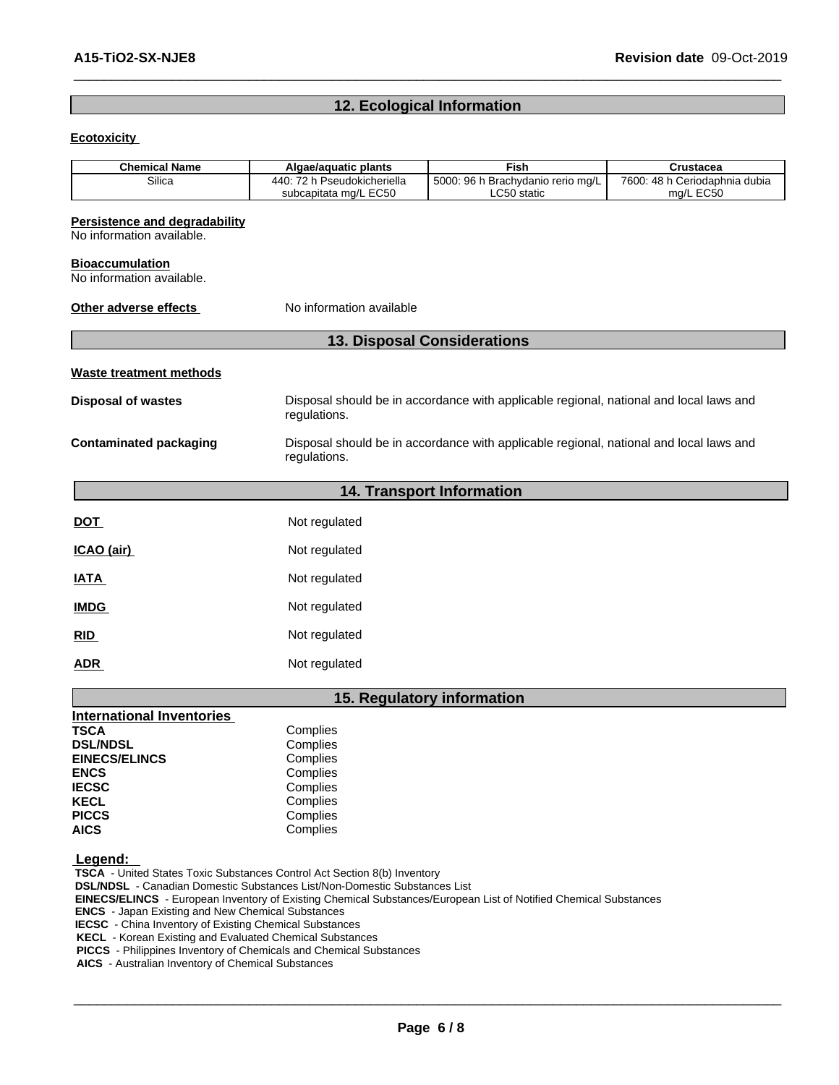# **12. Ecological Information**

#### **Ecotoxicity**

| <b>Chemical Name</b>                                              | Algae/aquatic plants                                 | Fish                                                                                   | <b>Crustacea</b>                           |  |  |
|-------------------------------------------------------------------|------------------------------------------------------|----------------------------------------------------------------------------------------|--------------------------------------------|--|--|
| Silica                                                            | 440: 72 h Pseudokicheriella<br>subcapitata mg/L EC50 | 5000: 96 h Brachydanio rerio mg/L<br>LC50 static                                       | 7600: 48 h Ceriodaphnia dubia<br>mg/L EC50 |  |  |
| <b>Persistence and degradability</b><br>No information available. |                                                      |                                                                                        |                                            |  |  |
| <b>Bioaccumulation</b><br>No information available.               |                                                      |                                                                                        |                                            |  |  |
| Other adverse effects                                             | No information available                             |                                                                                        |                                            |  |  |
|                                                                   |                                                      | <b>13. Disposal Considerations</b>                                                     |                                            |  |  |
| <b>Waste treatment methods</b>                                    |                                                      |                                                                                        |                                            |  |  |
| <b>Disposal of wastes</b>                                         | regulations.                                         | Disposal should be in accordance with applicable regional, national and local laws and |                                            |  |  |
| <b>Contaminated packaging</b>                                     | regulations.                                         | Disposal should be in accordance with applicable regional, national and local laws and |                                            |  |  |
|                                                                   |                                                      | 14. Transport Information                                                              |                                            |  |  |
| <b>DOT</b>                                                        | Not regulated                                        |                                                                                        |                                            |  |  |
| ICAO (air)                                                        | Not regulated                                        |                                                                                        |                                            |  |  |
| <b>IATA</b>                                                       | Not regulated                                        |                                                                                        |                                            |  |  |
| <b>IMDG</b>                                                       | Not regulated                                        |                                                                                        |                                            |  |  |
| <b>RID</b>                                                        | Not regulated                                        |                                                                                        |                                            |  |  |
| <b>ADR</b>                                                        | Not regulated                                        |                                                                                        |                                            |  |  |
|                                                                   |                                                      | 15. Regulatory information                                                             |                                            |  |  |
| <b>International Inventories</b>                                  |                                                      |                                                                                        |                                            |  |  |
| <b>TSCA</b>                                                       | Complies                                             |                                                                                        |                                            |  |  |
| <b>DSL/NDSL</b>                                                   | Complies                                             |                                                                                        |                                            |  |  |
| <b>EINECS/ELINCS</b>                                              | Complies                                             |                                                                                        |                                            |  |  |
| <b>ENCS</b>                                                       | Complies                                             |                                                                                        |                                            |  |  |
| <b>IECSC</b>                                                      | Complies<br>Complies                                 |                                                                                        |                                            |  |  |
| <b>KECL</b><br><b>PICCS</b>                                       |                                                      |                                                                                        |                                            |  |  |
|                                                                   | Complies                                             |                                                                                        |                                            |  |  |

 **Legend:** 

 **TSCA** - United States Toxic Substances Control Act Section 8(b) Inventory

 **DSL/NDSL** - Canadian Domestic Substances List/Non-Domestic Substances List

 **EINECS/ELINCS** - European Inventory of Existing Chemical Substances/European List of Notified Chemical Substances

 **ENCS** - Japan Existing and New Chemical Substances

 **IECSC** - China Inventory of Existing Chemical Substances

**AICS** Complies

 **KECL** - Korean Existing and Evaluated Chemical Substances

 **PICCS** - Philippines Inventory of Chemicals and Chemical Substances

 **AICS** - Australian Inventory of Chemical Substances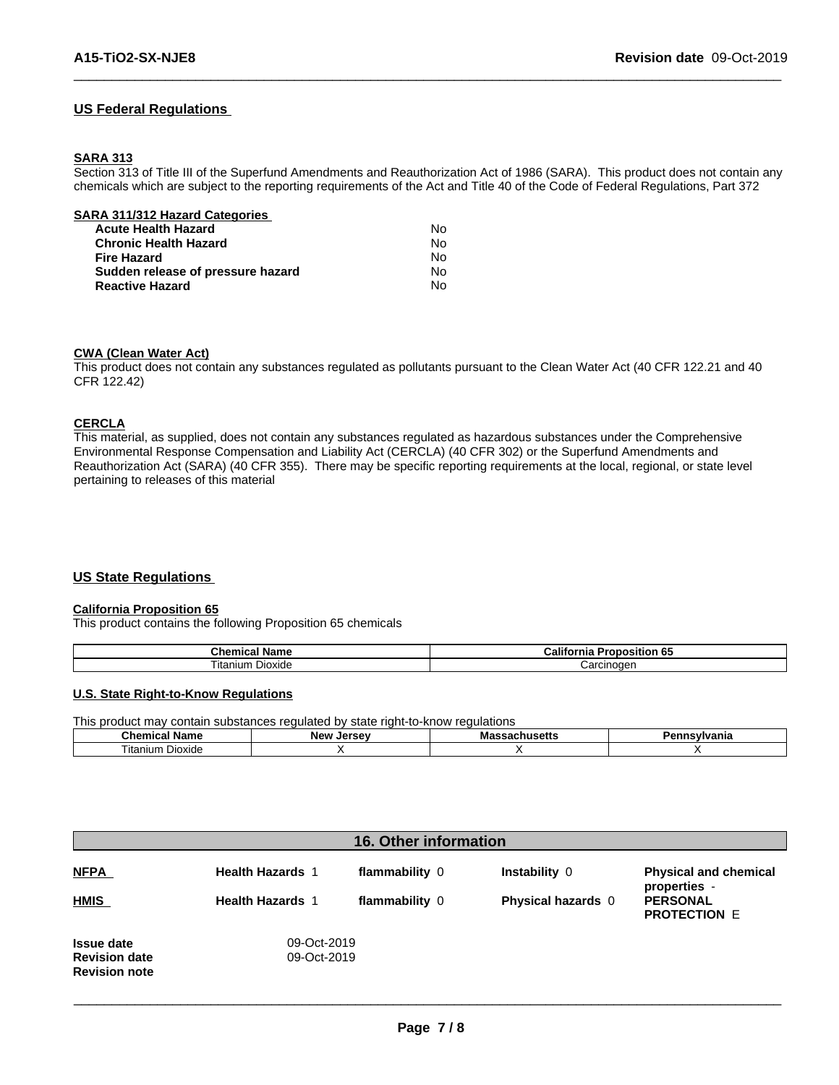# **US Federal Regulations**

#### **SARA 313**

Section 313 of Title III of the Superfund Amendments and Reauthorization Act of 1986 (SARA). This product does not contain any chemicals which are subject to the reporting requirements of the Act and Title 40 of the Code of Federal Regulations, Part 372

| SARA 311/312 Hazard Categories    |    |  |
|-----------------------------------|----|--|
| <b>Acute Health Hazard</b>        | N٥ |  |
| <b>Chronic Health Hazard</b>      | Nο |  |
| <b>Fire Hazard</b>                | Nο |  |
| Sudden release of pressure hazard | No |  |
| <b>Reactive Hazard</b>            | No |  |

#### **CWA** (Clean Water Act)

This product does not contain any substances regulated as pollutants pursuant to the Clean Water Act (40 CFR 122.21 and 40 CFR 122.42)

#### **CERCLA**

This material, as supplied, does not contain any substances regulated as hazardous substances under the Comprehensive Environmental Response Compensation and Liability Act (CERCLA) (40 CFR 302) or the Superfund Amendments and Reauthorization Act (SARA) (40 CFR 355). There may be specific reporting requirements at the local, regional, or state level pertaining to releases of this material

# **US State Regulations**

#### **California Proposition 65**

This product contains the following Proposition 65 chemicals

| - -<br>Chemical<br>Name | California<br>'roposition 65         |
|-------------------------|--------------------------------------|
| i itanıum<br>Dioxide    | $'$ oroino $\alpha$ on<br>∪arci⊓∪uei |

#### **U.S. State Right-to-Know Regulations**

This product may contain substances regulated by state right-to-know regulations

| <b>Chemical</b><br>larcay<br>New<br>' Name<br>JE 1<br>. |  | ша:<br>aatii ustus | vanid |
|---------------------------------------------------------|--|--------------------|-------|
| --<br>Fitanium<br>Dioxide י                             |  |                    |       |

| <b>16. Other information</b>                                      |                            |                |                           |                                              |
|-------------------------------------------------------------------|----------------------------|----------------|---------------------------|----------------------------------------------|
| <b>NFPA</b>                                                       | <b>Health Hazards 1</b>    | flammability 0 | Instability 0             | <b>Physical and chemical</b><br>properties - |
| <b>HMIS</b>                                                       | <b>Health Hazards 1</b>    | flammability 0 | <b>Physical hazards 0</b> | <b>PERSONAL</b><br><b>PROTECTION E</b>       |
| <b>Issue date</b><br><b>Revision date</b><br><b>Revision note</b> | 09-Oct-2019<br>09-Oct-2019 |                |                           |                                              |